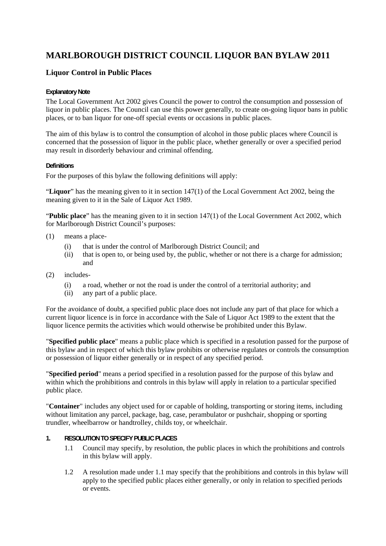# **MARLBOROUGH DISTRICT COUNCIL LIQUOR BAN BYLAW 2011**

# **Liquor Control in Public Places**

## **Explanatory Note**

The Local Government Act 2002 gives Council the power to control the consumption and possession of liquor in public places. The Council can use this power generally, to create on-going liquor bans in public places, or to ban liquor for one-off special events or occasions in public places.

The aim of this bylaw is to control the consumption of alcohol in those public places where Council is concerned that the possession of liquor in the public place, whether generally or over a specified period may result in disorderly behaviour and criminal offending.

#### **Definitions**

For the purposes of this bylaw the following definitions will apply:

"**Liquor**" has the meaning given to it in section 147(1) of the Local Government Act 2002, being the meaning given to it in the Sale of Liquor Act 1989.

"**Public place**" has the meaning given to it in section 147(1) of the Local Government Act 2002, which for Marlborough District Council's purposes:

- (1) means a place-
	- (i) that is under the control of Marlborough District Council; and
	- (ii) that is open to, or being used by, the public, whether or not there is a charge for admission; and
- (2) includes-
	- (i) a road, whether or not the road is under the control of a territorial authority; and
	- (ii) any part of a public place.

For the avoidance of doubt, a specified public place does not include any part of that place for which a current liquor licence is in force in accordance with the Sale of Liquor Act 1989 to the extent that the liquor licence permits the activities which would otherwise be prohibited under this Bylaw.

"**Specified public place**" means a public place which is specified in a resolution passed for the purpose of this bylaw and in respect of which this bylaw prohibits or otherwise regulates or controls the consumption or possession of liquor either generally or in respect of any specified period.

"**Specified period**" means a period specified in a resolution passed for the purpose of this bylaw and within which the prohibitions and controls in this bylaw will apply in relation to a particular specified public place.

"**Container**" includes any object used for or capable of holding, transporting or storing items, including without limitation any parcel, package, bag, case, perambulator or pushchair, shopping or sporting trundler, wheelbarrow or handtrolley, childs toy, or wheelchair.

## **1. RESOLUTION TO SPECIFY PUBLIC PLACES**

- 1.1 Council may specify, by resolution, the public places in which the prohibitions and controls in this bylaw will apply.
- 1.2 A resolution made under 1.1 may specify that the prohibitions and controls in this bylaw will apply to the specified public places either generally, or only in relation to specified periods or events.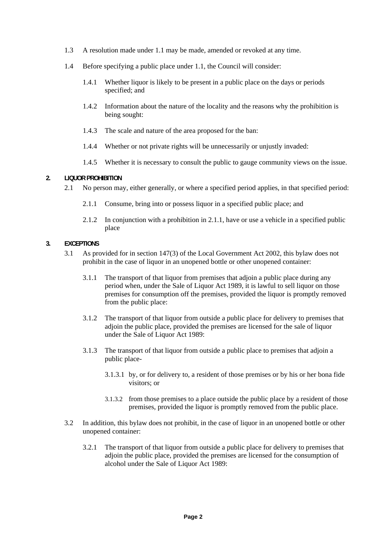- 1.3 A resolution made under 1.1 may be made, amended or revoked at any time.
- 1.4 Before specifying a public place under 1.1, the Council will consider:
	- 1.4.1 Whether liquor is likely to be present in a public place on the days or periods specified; and
	- 1.4.2 Information about the nature of the locality and the reasons why the prohibition is being sought:
	- 1.4.3 The scale and nature of the area proposed for the ban:
	- 1.4.4 Whether or not private rights will be unnecessarily or unjustly invaded:
	- 1.4.5 Whether it is necessary to consult the public to gauge community views on the issue.

#### **2. LIQUOR PROHIBITION**

- 2.1 No person may, either generally, or where a specified period applies, in that specified period:
	- 2.1.1 Consume, bring into or possess liquor in a specified public place; and
	- 2.1.2 In conjunction with a prohibition in 2.1.1, have or use a vehicle in a specified public place

#### **3. EXCEPTIONS**

- 3.1 As provided for in section 147(3) of the Local Government Act 2002, this bylaw does not prohibit in the case of liquor in an unopened bottle or other unopened container:
	- 3.1.1 The transport of that liquor from premises that adjoin a public place during any period when, under the Sale of Liquor Act 1989, it is lawful to sell liquor on those premises for consumption off the premises, provided the liquor is promptly removed from the public place:
	- 3.1.2 The transport of that liquor from outside a public place for delivery to premises that adjoin the public place, provided the premises are licensed for the sale of liquor under the Sale of Liquor Act 1989:
	- 3.1.3 The transport of that liquor from outside a public place to premises that adjoin a public place-
		- 3.1.3.1 by, or for delivery to, a resident of those premises or by his or her bona fide visitors; or
		- 3.1.3.2 from those premises to a place outside the public place by a resident of those premises, provided the liquor is promptly removed from the public place.
- 3.2 In addition, this bylaw does not prohibit, in the case of liquor in an unopened bottle or other unopened container:
	- 3.2.1 The transport of that liquor from outside a public place for delivery to premises that adjoin the public place, provided the premises are licensed for the consumption of alcohol under the Sale of Liquor Act 1989: